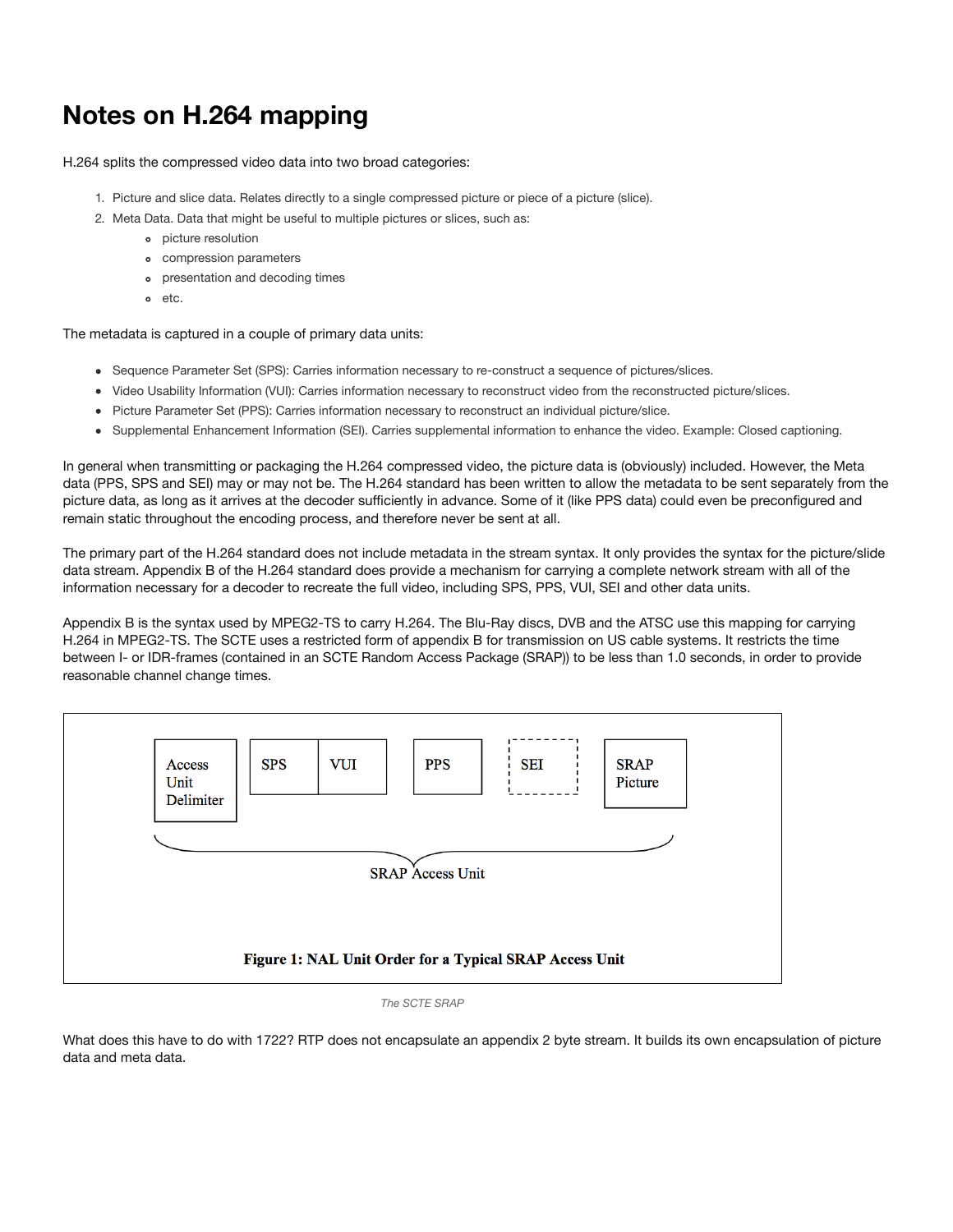## **Notes on H.264 mapping**

H.264 splits the compressed video data into two broad categories:

- 1. Picture and slice data. Relates directly to a single compressed picture or piece of a picture (slice).
- 2. Meta Data. Data that might be useful to multiple pictures or slices, such as:
	- picture resolution
	- compression parameters
	- presentation and decoding times
	- etc.

The metadata is captured in a couple of primary data units:

- Sequence Parameter Set (SPS): Carries information necessary to re-construct a sequence of pictures/slices.
- Video Usability Information (VUI): Carries information necessary to reconstruct video from the reconstructed picture/slices.
- Picture Parameter Set (PPS): Carries information necessary to reconstruct an individual picture/slice.
- Supplemental Enhancement Information (SEI). Carries supplemental information to enhance the video. Example: Closed captioning.

In general when transmitting or packaging the H.264 compressed video, the picture data is (obviously) included. However, the Meta data (PPS, SPS and SEI) may or may not be. The H.264 standard has been written to allow the metadata to be sent separately from the picture data, as long as it arrives at the decoder sufficiently in advance. Some of it (like PPS data) could even be preconfigured and remain static throughout the encoding process, and therefore never be sent at all.

The primary part of the H.264 standard does not include metadata in the stream syntax. It only provides the syntax for the picture/slide data stream. Appendix B of the H.264 standard does provide a mechanism for carrying a complete network stream with all of the information necessary for a decoder to recreate the full video, including SPS, PPS, VUI, SEI and other data units.

Appendix B is the syntax used by MPEG2-TS to carry H.264. The Blu-Ray discs, DVB and the ATSC use this mapping for carrying H.264 in MPEG2-TS. The SCTE uses a restricted form of appendix B for transmission on US cable systems. It restricts the time between I- or IDR-frames (contained in an SCTE Random Access Package (SRAP)) to be less than 1.0 seconds, in order to provide reasonable channel change times.



*The SCTE SRAP*

What does this have to do with 1722? RTP does not encapsulate an appendix 2 byte stream. It builds its own encapsulation of picture data and meta data.